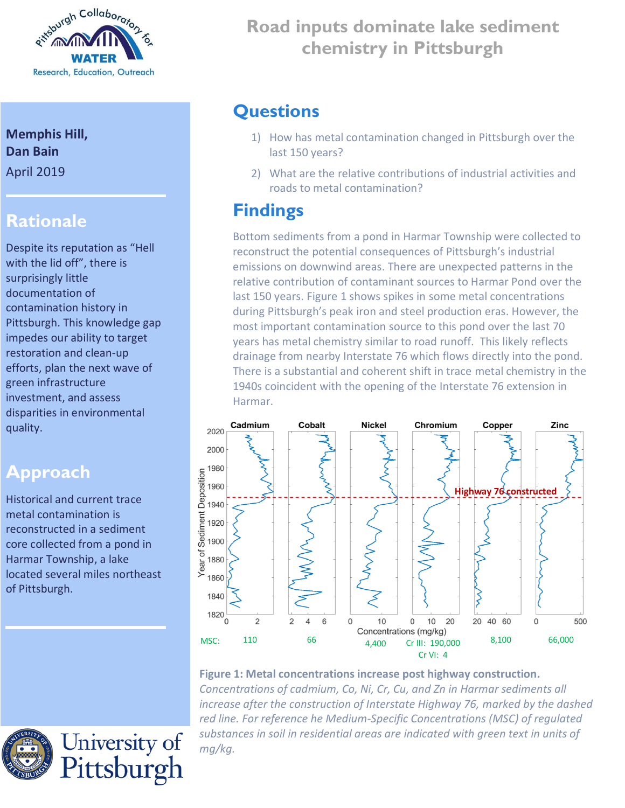

#### **Memphis Hill, Dan Bain** April 2019

#### **Rationale**

Despite its reputation as "Hell with the lid off", there is surprisingly little documentation of contamination history in Pittsburgh. This knowledge gap impedes our ability to target restoration and clean-up efforts, plan the next wave of green infrastructure investment, and assess disparities in environmental quality.

### **Approach**

Historical and current trace metal contamination is reconstructed in a sediment core collected from a pond in Harmar Township, a lake located several miles northeast of Pittsburgh.

University of<br>Pittsburgh

## **? Road inputs dominate lake sediment chemistry in Pittsburgh**

#### **Questions**

- 1) How has metal contamination changed in Pittsburgh over the last 150 years?
- 2) What are the relative contributions of industrial activities and roads to metal contamination?

# **Findings**

Bottom sediments from a pond in Harmar Township were collected to reconstruct the potential consequences of Pittsburgh's industrial emissions on downwind areas. There are unexpected patterns in the relative contribution of contaminant sources to Harmar Pond over the last 150 years. Figure 1 shows spikes in some metal concentrations during Pittsburgh's peak iron and steel production eras. However, the most important contamination source to this pond over the last 70 years has metal chemistry similar to road runoff. This likely reflects drainage from nearby Interstate 76 which flows directly into the pond. There is a substantial and coherent shift in trace metal chemistry in the 1940s coincident with the opening of the Interstate 76 extension in Harmar.



**Figure 1: Metal concentrations increase post highway construction.** *Concentrations of cadmium, Co, Ni, Cr, Cu, and Zn in Harmar sediments all increase after the construction of Interstate Highway 76, marked by the dashed red line. For reference he Medium-Specific Concentrations (MSC) of regulated substances in soil in residential areas are indicated with green text in units of mg/kg.*